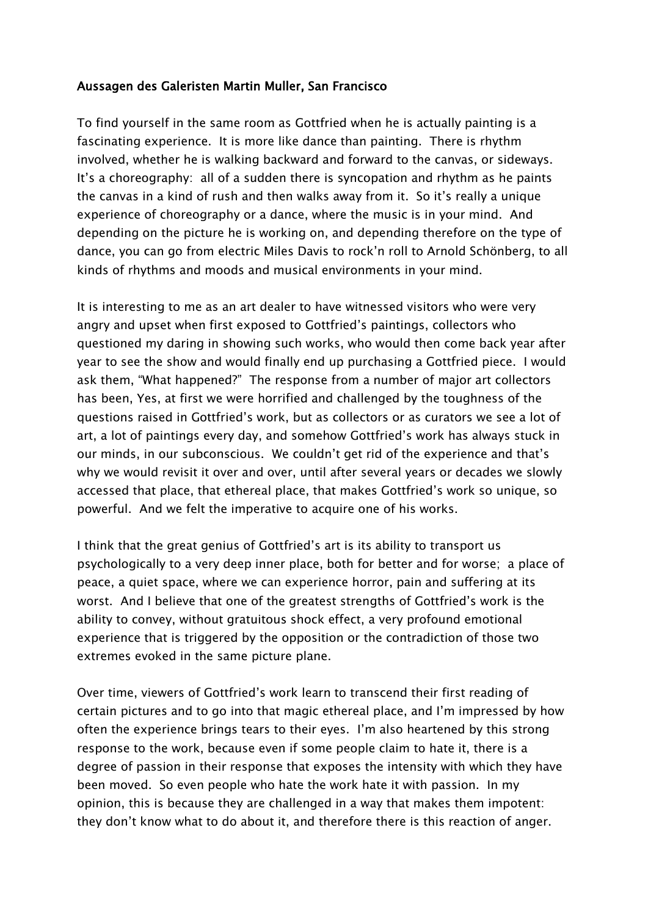## Aussagen des Galeristen Martin Muller, San Francisco

To find yourself in the same room as Gottfried when he is actually painting is a fascinating experience. It is more like dance than painting. There is rhythm involved, whether he is walking backward and forward to the canvas, or sideways. It's a choreography: all of a sudden there is syncopation and rhythm as he paints the canvas in a kind of rush and then walks away from it. So it's really a unique experience of choreography or a dance, where the music is in your mind. And depending on the picture he is working on, and depending therefore on the type of dance, you can go from electric Miles Davis to rock'n roll to Arnold Schönberg, to all kinds of rhythms and moods and musical environments in your mind.

It is interesting to me as an art dealer to have witnessed visitors who were very angry and upset when first exposed to Gottfried's paintings, collectors who questioned my daring in showing such works, who would then come back year after year to see the show and would finally end up purchasing a Gottfried piece. I would ask them, "What happened?" The response from a number of major art collectors has been, Yes, at first we were horrified and challenged by the toughness of the questions raised in Gottfried's work, but as collectors or as curators we see a lot of art, a lot of paintings every day, and somehow Gottfried's work has always stuck in our minds, in our subconscious. We couldn't get rid of the experience and that's why we would revisit it over and over, until after several years or decades we slowly accessed that place, that ethereal place, that makes Gottfried's work so unique, so powerful. And we felt the imperative to acquire one of his works.

I think that the great genius of Gottfried's art is its ability to transport us psychologically to a very deep inner place, both for better and for worse; a place of peace, a quiet space, where we can experience horror, pain and suffering at its worst. And I believe that one of the greatest strengths of Gottfried's work is the ability to convey, without gratuitous shock effect, a very profound emotional experience that is triggered by the opposition or the contradiction of those two extremes evoked in the same picture plane.

Over time, viewers of Gottfried's work learn to transcend their first reading of certain pictures and to go into that magic ethereal place, and I'm impressed by how often the experience brings tears to their eyes. I'm also heartened by this strong response to the work, because even if some people claim to hate it, there is a degree of passion in their response that exposes the intensity with which they have been moved. So even people who hate the work hate it with passion. In my opinion, this is because they are challenged in a way that makes them impotent: they don't know what to do about it, and therefore there is this reaction of anger.